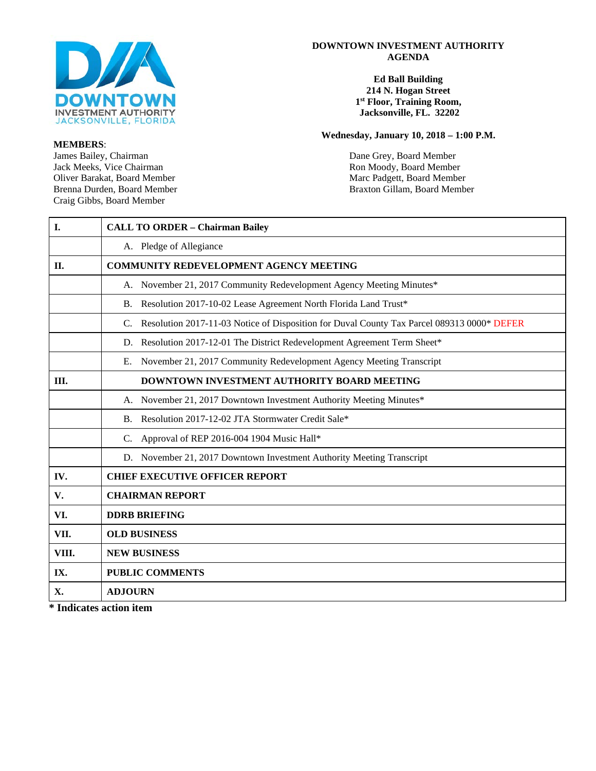

**MEMBERS**: Jack Meeks, Vice Chairman Ron Moody, Board Member<br>
Oliver Barakat, Board Member<br>
Ron Moody, Board Member<br>
Ron Moody, Board Member Oliver Barakat, Board Member Marc Padgett, Board Member Marc Padgett, Board Member Brenna Durden, Board Member Craig Gibbs, Board Member

#### **DOWNTOWN INVESTMENT AUTHORITY AGENDA**

#### **Ed Ball Building 214 N. Hogan Street 1st Floor, Training Room, Jacksonville, FL. 32202**

#### **Wednesday, January 10, 2018 – 1:00 P.M.**

Dane Grey, Board Member Braxton Gillam, Board Member

| I.          | <b>CALL TO ORDER - Chairman Bailey</b>                                                           |
|-------------|--------------------------------------------------------------------------------------------------|
|             | A. Pledge of Allegiance                                                                          |
| <b>II.</b>  | <b>COMMUNITY REDEVELOPMENT AGENCY MEETING</b>                                                    |
|             | A. November 21, 2017 Community Redevelopment Agency Meeting Minutes*                             |
|             | Resolution 2017-10-02 Lease Agreement North Florida Land Trust*<br><b>B.</b>                     |
|             | Resolution 2017-11-03 Notice of Disposition for Duval County Tax Parcel 089313 0000* DEFER<br>C. |
|             | Resolution 2017-12-01 The District Redevelopment Agreement Term Sheet*<br>D.                     |
|             | E. November 21, 2017 Community Redevelopment Agency Meeting Transcript                           |
| III.        | <b>DOWNTOWN INVESTMENT AUTHORITY BOARD MEETING</b>                                               |
|             | A. November 21, 2017 Downtown Investment Authority Meeting Minutes*                              |
|             | Resolution 2017-12-02 JTA Stormwater Credit Sale*<br>B.                                          |
|             | Approval of REP 2016-004 1904 Music Hall*<br>C.                                                  |
|             | D. November 21, 2017 Downtown Investment Authority Meeting Transcript                            |
| IV.         | <b>CHIEF EXECUTIVE OFFICER REPORT</b>                                                            |
| $V_{\cdot}$ | <b>CHAIRMAN REPORT</b>                                                                           |
| VI.         | <b>DDRB BRIEFING</b>                                                                             |
| VII.        | <b>OLD BUSINESS</b>                                                                              |
| VIII.       | <b>NEW BUSINESS</b>                                                                              |
| IX.         | <b>PUBLIC COMMENTS</b>                                                                           |
| <b>X.</b>   | <b>ADJOURN</b>                                                                                   |

**\* Indicates action item**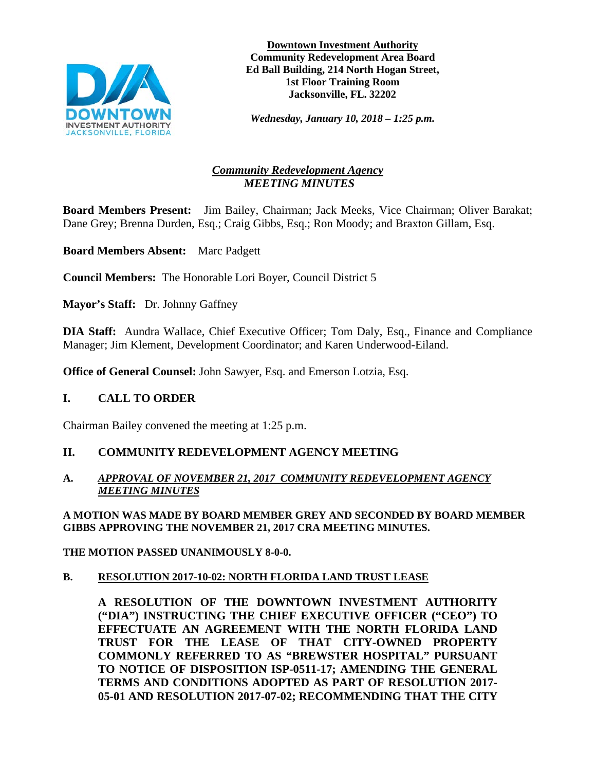

**Downtown Investment Authority Community Redevelopment Area Board Ed Ball Building, 214 North Hogan Street, 1st Floor Training Room Jacksonville, FL. 32202**

*Wednesday, January 10, 2018 – 1:25 p.m.* 

# *Community Redevelopment Agency MEETING MINUTES*

**Board Members Present:** Jim Bailey, Chairman; Jack Meeks, Vice Chairman; Oliver Barakat; Dane Grey; Brenna Durden, Esq.; Craig Gibbs, Esq.; Ron Moody; and Braxton Gillam, Esq.

**Board Members Absent:** Marc Padgett

**Council Members:** The Honorable Lori Boyer, Council District 5

**Mayor's Staff:** Dr. Johnny Gaffney

**DIA Staff:** Aundra Wallace, Chief Executive Officer; Tom Daly, Esq., Finance and Compliance Manager; Jim Klement, Development Coordinator; and Karen Underwood-Eiland.

**Office of General Counsel:** John Sawyer, Esq. and Emerson Lotzia, Esq.

# **I. CALL TO ORDER**

Chairman Bailey convened the meeting at 1:25 p.m.

# **II. COMMUNITY REDEVELOPMENT AGENCY MEETING**

## **A.** *APPROVAL OF NOVEMBER 21, 2017 COMMUNITY REDEVELOPMENT AGENCY MEETING MINUTES*

#### **A MOTION WAS MADE BY BOARD MEMBER GREY AND SECONDED BY BOARD MEMBER GIBBS APPROVING THE NOVEMBER 21, 2017 CRA MEETING MINUTES.**

**THE MOTION PASSED UNANIMOUSLY 8-0-0.**

## **B. RESOLUTION 2017-10-02: NORTH FLORIDA LAND TRUST LEASE**

**A RESOLUTION OF THE DOWNTOWN INVESTMENT AUTHORITY ("DIA") INSTRUCTING THE CHIEF EXECUTIVE OFFICER ("CEO") TO EFFECTUATE AN AGREEMENT WITH THE NORTH FLORIDA LAND TRUST FOR THE LEASE OF THAT CITY-OWNED PROPERTY COMMONLY REFERRED TO AS "BREWSTER HOSPITAL" PURSUANT TO NOTICE OF DISPOSITION ISP-0511-17; AMENDING THE GENERAL TERMS AND CONDITIONS ADOPTED AS PART OF RESOLUTION 2017- 05-01 AND RESOLUTION 2017-07-02; RECOMMENDING THAT THE CITY**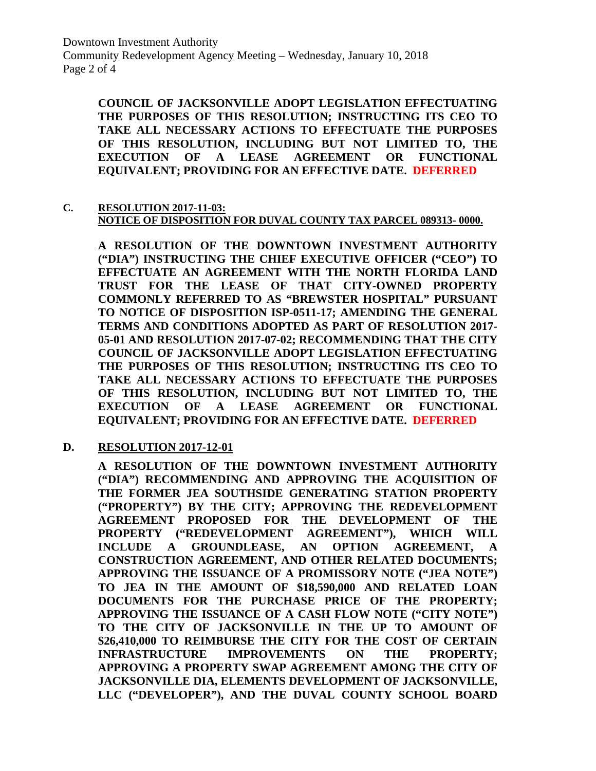Downtown Investment Authority Community Redevelopment Agency Meeting – Wednesday, January 10, 2018 Page 2 of 4

**COUNCIL OF JACKSONVILLE ADOPT LEGISLATION EFFECTUATING THE PURPOSES OF THIS RESOLUTION; INSTRUCTING ITS CEO TO TAKE ALL NECESSARY ACTIONS TO EFFECTUATE THE PURPOSES OF THIS RESOLUTION, INCLUDING BUT NOT LIMITED TO, THE EXECUTION OF A LEASE AGREEMENT OR FUNCTIONAL EQUIVALENT; PROVIDING FOR AN EFFECTIVE DATE. DEFERRED**

**C. RESOLUTION 2017-11-03: NOTICE OF DISPOSITION FOR DUVAL COUNTY TAX PARCEL 089313- 0000.** 

**A RESOLUTION OF THE DOWNTOWN INVESTMENT AUTHORITY ("DIA") INSTRUCTING THE CHIEF EXECUTIVE OFFICER ("CEO") TO EFFECTUATE AN AGREEMENT WITH THE NORTH FLORIDA LAND TRUST FOR THE LEASE OF THAT CITY-OWNED PROPERTY COMMONLY REFERRED TO AS "BREWSTER HOSPITAL" PURSUANT TO NOTICE OF DISPOSITION ISP-0511-17; AMENDING THE GENERAL TERMS AND CONDITIONS ADOPTED AS PART OF RESOLUTION 2017- 05-01 AND RESOLUTION 2017-07-02; RECOMMENDING THAT THE CITY COUNCIL OF JACKSONVILLE ADOPT LEGISLATION EFFECTUATING THE PURPOSES OF THIS RESOLUTION; INSTRUCTING ITS CEO TO TAKE ALL NECESSARY ACTIONS TO EFFECTUATE THE PURPOSES OF THIS RESOLUTION, INCLUDING BUT NOT LIMITED TO, THE EXECUTION OF A LEASE AGREEMENT OR FUNCTIONAL EQUIVALENT; PROVIDING FOR AN EFFECTIVE DATE. DEFERRED**

**D. RESOLUTION 2017-12-01**

**A RESOLUTION OF THE DOWNTOWN INVESTMENT AUTHORITY ("DIA") RECOMMENDING AND APPROVING THE ACQUISITION OF THE FORMER JEA SOUTHSIDE GENERATING STATION PROPERTY ("PROPERTY") BY THE CITY; APPROVING THE REDEVELOPMENT AGREEMENT PROPOSED FOR THE DEVELOPMENT OF THE PROPERTY ("REDEVELOPMENT AGREEMENT"), WHICH WILL INCLUDE A GROUNDLEASE, AN OPTION AGREEMENT, A CONSTRUCTION AGREEMENT, AND OTHER RELATED DOCUMENTS; APPROVING THE ISSUANCE OF A PROMISSORY NOTE ("JEA NOTE") TO JEA IN THE AMOUNT OF \$18,590,000 AND RELATED LOAN DOCUMENTS FOR THE PURCHASE PRICE OF THE PROPERTY; APPROVING THE ISSUANCE OF A CASH FLOW NOTE ("CITY NOTE") TO THE CITY OF JACKSONVILLE IN THE UP TO AMOUNT OF \$26,410,000 TO REIMBURSE THE CITY FOR THE COST OF CERTAIN INFRASTRUCTURE IMPROVEMENTS ON THE PROPERTY; APPROVING A PROPERTY SWAP AGREEMENT AMONG THE CITY OF JACKSONVILLE DIA, ELEMENTS DEVELOPMENT OF JACKSONVILLE, LLC ("DEVELOPER"), AND THE DUVAL COUNTY SCHOOL BOARD**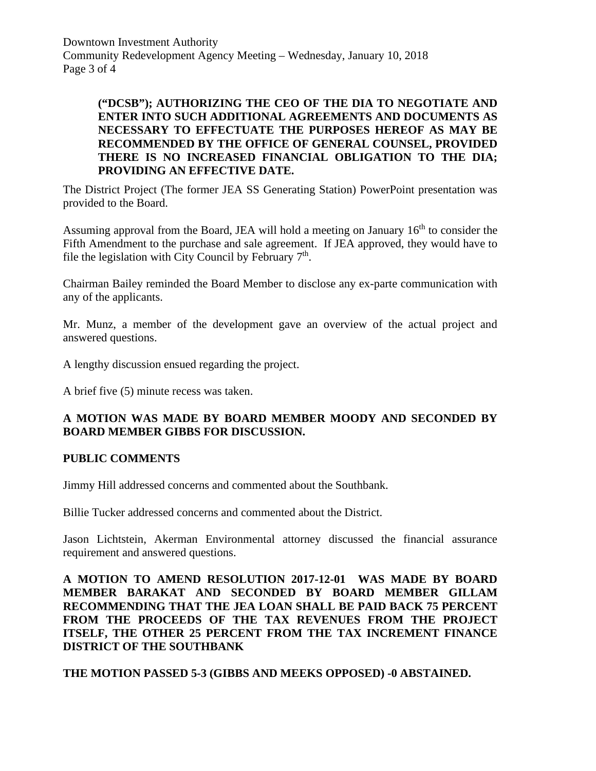Downtown Investment Authority Community Redevelopment Agency Meeting – Wednesday, January 10, 2018 Page 3 of 4

# **("DCSB"); AUTHORIZING THE CEO OF THE DIA TO NEGOTIATE AND ENTER INTO SUCH ADDITIONAL AGREEMENTS AND DOCUMENTS AS NECESSARY TO EFFECTUATE THE PURPOSES HEREOF AS MAY BE RECOMMENDED BY THE OFFICE OF GENERAL COUNSEL, PROVIDED THERE IS NO INCREASED FINANCIAL OBLIGATION TO THE DIA; PROVIDING AN EFFECTIVE DATE.**

The District Project (The former JEA SS Generating Station) PowerPoint presentation was provided to the Board.

Assuming approval from the Board, JEA will hold a meeting on January  $16<sup>th</sup>$  to consider the Fifth Amendment to the purchase and sale agreement. If JEA approved, they would have to file the legislation with City Council by February  $7<sup>th</sup>$ .

Chairman Bailey reminded the Board Member to disclose any ex-parte communication with any of the applicants.

Mr. Munz, a member of the development gave an overview of the actual project and answered questions.

A lengthy discussion ensued regarding the project.

A brief five (5) minute recess was taken.

# **A MOTION WAS MADE BY BOARD MEMBER MOODY AND SECONDED BY BOARD MEMBER GIBBS FOR DISCUSSION.**

## **PUBLIC COMMENTS**

Jimmy Hill addressed concerns and commented about the Southbank.

Billie Tucker addressed concerns and commented about the District.

Jason Lichtstein, Akerman Environmental attorney discussed the financial assurance requirement and answered questions.

**A MOTION TO AMEND RESOLUTION 2017-12-01 WAS MADE BY BOARD MEMBER BARAKAT AND SECONDED BY BOARD MEMBER GILLAM RECOMMENDING THAT THE JEA LOAN SHALL BE PAID BACK 75 PERCENT FROM THE PROCEEDS OF THE TAX REVENUES FROM THE PROJECT ITSELF, THE OTHER 25 PERCENT FROM THE TAX INCREMENT FINANCE DISTRICT OF THE SOUTHBANK**

**THE MOTION PASSED 5-3 (GIBBS AND MEEKS OPPOSED) -0 ABSTAINED.**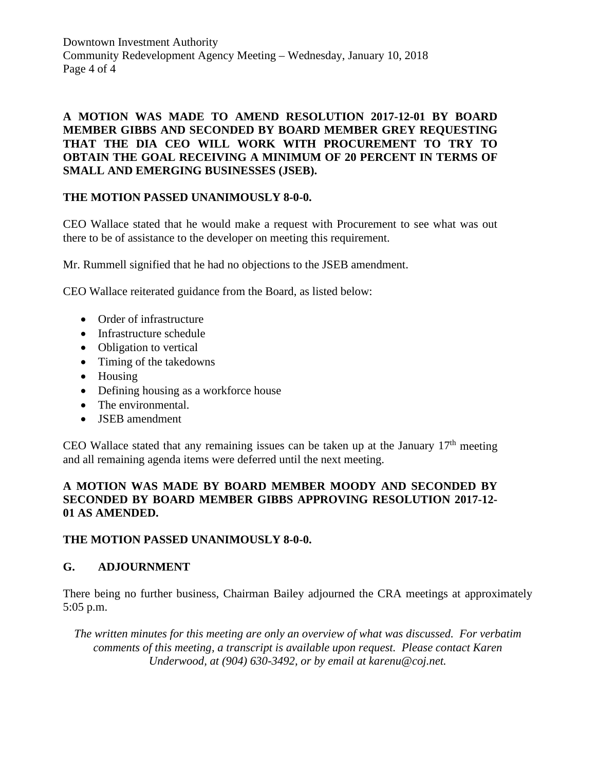Downtown Investment Authority Community Redevelopment Agency Meeting – Wednesday, January 10, 2018 Page 4 of 4

# **A MOTION WAS MADE TO AMEND RESOLUTION 2017-12-01 BY BOARD MEMBER GIBBS AND SECONDED BY BOARD MEMBER GREY REQUESTING THAT THE DIA CEO WILL WORK WITH PROCUREMENT TO TRY TO OBTAIN THE GOAL RECEIVING A MINIMUM OF 20 PERCENT IN TERMS OF SMALL AND EMERGING BUSINESSES (JSEB).**

## **THE MOTION PASSED UNANIMOUSLY 8-0-0.**

CEO Wallace stated that he would make a request with Procurement to see what was out there to be of assistance to the developer on meeting this requirement.

Mr. Rummell signified that he had no objections to the JSEB amendment.

CEO Wallace reiterated guidance from the Board, as listed below:

- Order of infrastructure
- Infrastructure schedule
- Obligation to vertical
- Timing of the takedowns
- Housing
- Defining housing as a workforce house
- The environmental.
- JSEB amendment

CEO Wallace stated that any remaining issues can be taken up at the January  $17<sup>th</sup>$  meeting and all remaining agenda items were deferred until the next meeting.

# **A MOTION WAS MADE BY BOARD MEMBER MOODY AND SECONDED BY SECONDED BY BOARD MEMBER GIBBS APPROVING RESOLUTION 2017-12- 01 AS AMENDED.**

## **THE MOTION PASSED UNANIMOUSLY 8-0-0.**

# **G. ADJOURNMENT**

There being no further business, Chairman Bailey adjourned the CRA meetings at approximately 5:05 p.m.

*The written minutes for this meeting are only an overview of what was discussed. For verbatim comments of this meeting, a transcript is available upon request. Please contact Karen Underwood, at (904) 630-3492, or by email at karenu@coj.net.*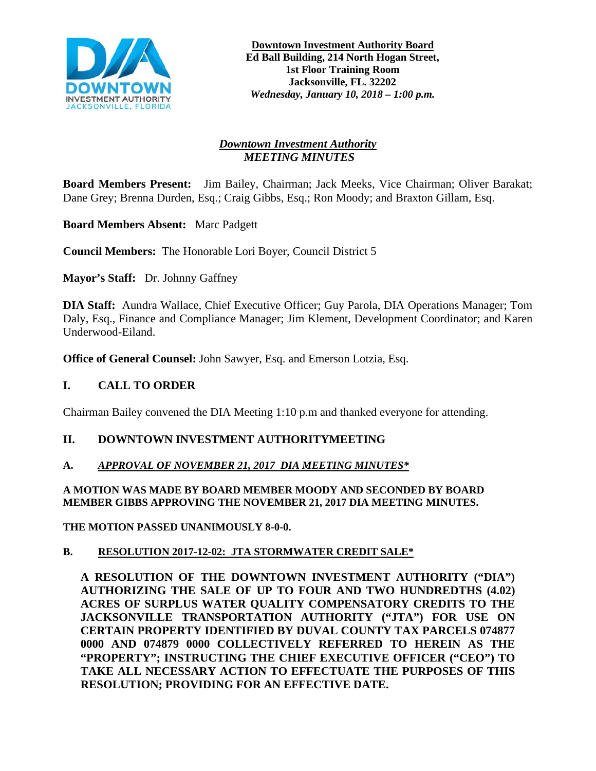

# *Downtown Investment Authority MEETING MINUTES*

**Board Members Present:** Jim Bailey, Chairman; Jack Meeks, Vice Chairman; Oliver Barakat; Dane Grey; Brenna Durden, Esq.; Craig Gibbs, Esq.; Ron Moody; and Braxton Gillam, Esq.

**Board Members Absent:** Marc Padgett

**Council Members:** The Honorable Lori Boyer, Council District 5

**Mayor's Staff:** Dr. Johnny Gaffney

**DIA Staff:** Aundra Wallace, Chief Executive Officer; Guy Parola, DIA Operations Manager; Tom Daly, Esq., Finance and Compliance Manager; Jim Klement, Development Coordinator; and Karen Underwood-Eiland.

**Office of General Counsel:** John Sawyer, Esq. and Emerson Lotzia, Esq.

## **I. CALL TO ORDER**

Chairman Bailey convened the DIA Meeting 1:10 p.m and thanked everyone for attending.

## **II. DOWNTOWN INVESTMENT AUTHORITYMEETING**

## **A.** *APPROVAL OF NOVEMBER 21, 2017 DIA MEETING MINUTES\**

#### **A MOTION WAS MADE BY BOARD MEMBER MOODY AND SECONDED BY BOARD MEMBER GIBBS APPROVING THE NOVEMBER 21, 2017 DIA MEETING MINUTES.**

**THE MOTION PASSED UNANIMOUSLY 8-0-0.**

## **B. RESOLUTION 2017-12-02: JTA STORMWATER CREDIT SALE\***

**A RESOLUTION OF THE DOWNTOWN INVESTMENT AUTHORITY ("DIA") AUTHORIZING THE SALE OF UP TO FOUR AND TWO HUNDREDTHS (4.02) ACRES OF SURPLUS WATER QUALITY COMPENSATORY CREDITS TO THE JACKSONVILLE TRANSPORTATION AUTHORITY ("JTA") FOR USE ON CERTAIN PROPERTY IDENTIFIED BY DUVAL COUNTY TAX PARCELS 074877 0000 AND 074879 0000 COLLECTIVELY REFERRED TO HEREIN AS THE "PROPERTY"; INSTRUCTING THE CHIEF EXECUTIVE OFFICER ("CEO") TO TAKE ALL NECESSARY ACTION TO EFFECTUATE THE PURPOSES OF THIS RESOLUTION; PROVIDING FOR AN EFFECTIVE DATE.**